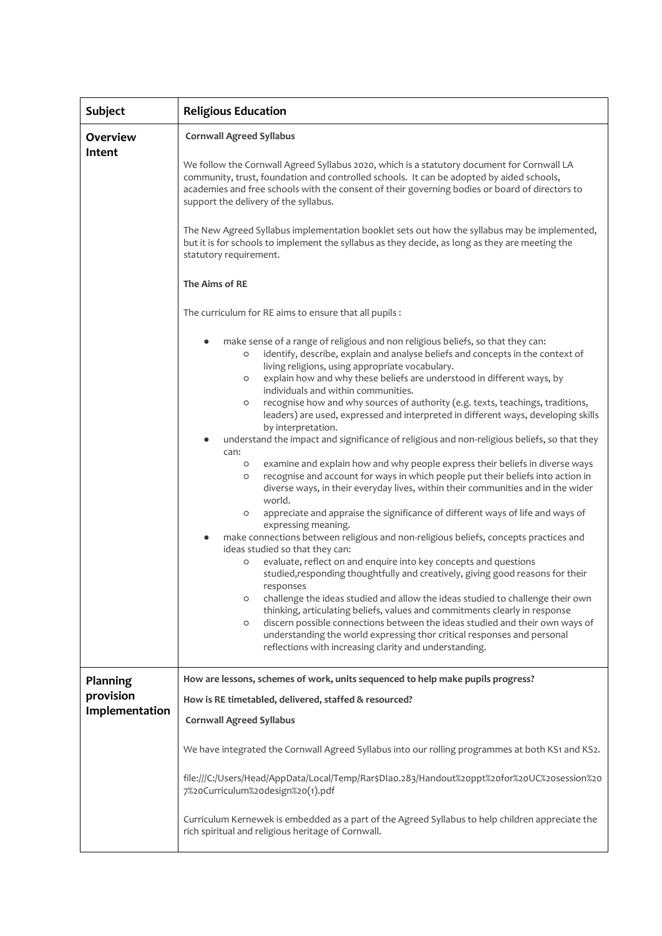| <b>Subject</b>                          | <b>Religious Education</b>                                                                                                                                                                                                                                                                                                                                                                                                                                                                                                                                                                                                                                                                                                                                                                                                                                                                                                                                                                                                                                                                                                                                                                                                                                                                                                                                                                                                                                                                                                                                                                                                                                                                                                                                                                                                                                                                                                                                                                                                                                                                                                                                                                                                                                                                                                                                                                                                                                   |  |  |
|-----------------------------------------|--------------------------------------------------------------------------------------------------------------------------------------------------------------------------------------------------------------------------------------------------------------------------------------------------------------------------------------------------------------------------------------------------------------------------------------------------------------------------------------------------------------------------------------------------------------------------------------------------------------------------------------------------------------------------------------------------------------------------------------------------------------------------------------------------------------------------------------------------------------------------------------------------------------------------------------------------------------------------------------------------------------------------------------------------------------------------------------------------------------------------------------------------------------------------------------------------------------------------------------------------------------------------------------------------------------------------------------------------------------------------------------------------------------------------------------------------------------------------------------------------------------------------------------------------------------------------------------------------------------------------------------------------------------------------------------------------------------------------------------------------------------------------------------------------------------------------------------------------------------------------------------------------------------------------------------------------------------------------------------------------------------------------------------------------------------------------------------------------------------------------------------------------------------------------------------------------------------------------------------------------------------------------------------------------------------------------------------------------------------------------------------------------------------------------------------------------------------|--|--|
| Overview<br>Intent                      | <b>Cornwall Agreed Syllabus</b><br>We follow the Cornwall Agreed Syllabus 2020, which is a statutory document for Cornwall LA<br>community, trust, foundation and controlled schools. It can be adopted by aided schools,<br>academies and free schools with the consent of their governing bodies or board of directors to<br>support the delivery of the syllabus.<br>The New Agreed Syllabus implementation booklet sets out how the syllabus may be implemented,<br>but it is for schools to implement the syllabus as they decide, as long as they are meeting the<br>statutory requirement.<br>The Aims of RE<br>The curriculum for RE aims to ensure that all pupils :<br>make sense of a range of religious and non religious beliefs, so that they can:<br>identify, describe, explain and analyse beliefs and concepts in the context of<br>O<br>living religions, using appropriate vocabulary.<br>explain how and why these beliefs are understood in different ways, by<br>O<br>individuals and within communities.<br>recognise how and why sources of authority (e.g. texts, teachings, traditions,<br>O<br>leaders) are used, expressed and interpreted in different ways, developing skills<br>by interpretation.<br>understand the impact and significance of religious and non-religious beliefs, so that they<br>can:<br>examine and explain how and why people express their beliefs in diverse ways<br>$\circ$<br>recognise and account for ways in which people put their beliefs into action in<br>$\circ$<br>diverse ways, in their everyday lives, within their communities and in the wider<br>world.<br>appreciate and appraise the significance of different ways of life and ways of<br>$\circ$<br>expressing meaning.<br>make connections between religious and non-religious beliefs, concepts practices and<br>ideas studied so that they can:<br>evaluate, reflect on and enquire into key concepts and questions<br>O<br>studied, responding thoughtfully and creatively, giving good reasons for their<br>responses<br>challenge the ideas studied and allow the ideas studied to challenge their own<br>$\circ$<br>thinking, articulating beliefs, values and commitments clearly in response<br>discern possible connections between the ideas studied and their own ways of<br>O<br>understanding the world expressing thor critical responses and personal<br>reflections with increasing clarity and understanding. |  |  |
| Planning<br>provision<br>Implementation | How are lessons, schemes of work, units sequenced to help make pupils progress?<br>How is RE timetabled, delivered, staffed & resourced?<br><b>Cornwall Agreed Syllabus</b><br>We have integrated the Cornwall Agreed Syllabus into our rolling programmes at both KS1 and KS2.<br>file:///C:/Users/Head/AppData/Local/Temp/Rar\$Dlao.283/Handout%2oppt%2ofor%2oUC%2osession%2o<br>7%20Curriculum%20design%20(1).pdf<br>Curriculum Kernewek is embedded as a part of the Agreed Syllabus to help children appreciate the<br>rich spiritual and religious heritage of Cornwall.                                                                                                                                                                                                                                                                                                                                                                                                                                                                                                                                                                                                                                                                                                                                                                                                                                                                                                                                                                                                                                                                                                                                                                                                                                                                                                                                                                                                                                                                                                                                                                                                                                                                                                                                                                                                                                                                               |  |  |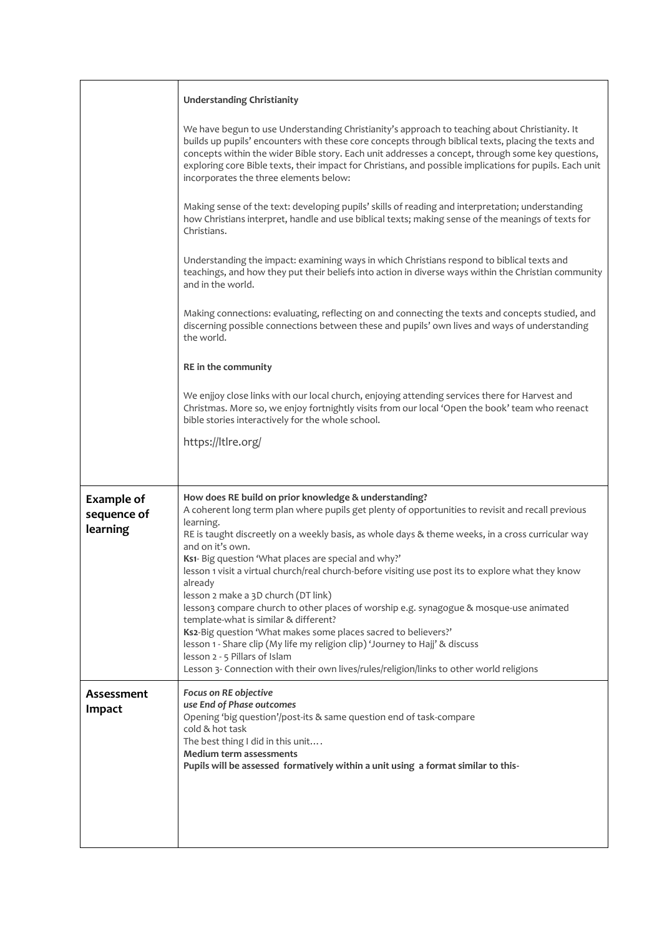|                                              | <b>Understanding Christianity</b>                                                                                                                                                                                                                                                                                                                                                                                                                               |  |  |  |
|----------------------------------------------|-----------------------------------------------------------------------------------------------------------------------------------------------------------------------------------------------------------------------------------------------------------------------------------------------------------------------------------------------------------------------------------------------------------------------------------------------------------------|--|--|--|
|                                              | We have begun to use Understanding Christianity's approach to teaching about Christianity. It<br>builds up pupils' encounters with these core concepts through biblical texts, placing the texts and<br>concepts within the wider Bible story. Each unit addresses a concept, through some key questions,<br>exploring core Bible texts, their impact for Christians, and possible implications for pupils. Each unit<br>incorporates the three elements below: |  |  |  |
|                                              | Making sense of the text: developing pupils' skills of reading and interpretation; understanding<br>how Christians interpret, handle and use biblical texts; making sense of the meanings of texts for<br>Christians.                                                                                                                                                                                                                                           |  |  |  |
|                                              | Understanding the impact: examining ways in which Christians respond to biblical texts and<br>teachings, and how they put their beliefs into action in diverse ways within the Christian community<br>and in the world.                                                                                                                                                                                                                                         |  |  |  |
|                                              | Making connections: evaluating, reflecting on and connecting the texts and concepts studied, and<br>discerning possible connections between these and pupils' own lives and ways of understanding<br>the world.                                                                                                                                                                                                                                                 |  |  |  |
|                                              | RE in the community                                                                                                                                                                                                                                                                                                                                                                                                                                             |  |  |  |
|                                              | We enjjoy close links with our local church, enjoying attending services there for Harvest and<br>Christmas. More so, we enjoy fortnightly visits from our local 'Open the book' team who reenact<br>bible stories interactively for the whole school.                                                                                                                                                                                                          |  |  |  |
|                                              | https://ltlre.org/                                                                                                                                                                                                                                                                                                                                                                                                                                              |  |  |  |
|                                              |                                                                                                                                                                                                                                                                                                                                                                                                                                                                 |  |  |  |
| <b>Example of</b><br>sequence of<br>learning | How does RE build on prior knowledge & understanding?<br>A coherent long term plan where pupils get plenty of opportunities to revisit and recall previous<br>learning.<br>RE is taught discreetly on a weekly basis, as whole days & theme weeks, in a cross curricular way<br>and on it's own.<br>Ks1- Big question 'What places are special and why?'                                                                                                        |  |  |  |
|                                              | lesson 1 visit a virtual church/real church-before visiting use post its to explore what they know<br>already                                                                                                                                                                                                                                                                                                                                                   |  |  |  |
|                                              | lesson 2 make a 3D church (DT link)<br>lesson3 compare church to other places of worship e.g. synagogue & mosque-use animated<br>template-what is similar & different?                                                                                                                                                                                                                                                                                          |  |  |  |
|                                              | Ks2-Big question 'What makes some places sacred to believers?'<br>lesson 1 - Share clip (My life my religion clip) 'Journey to Hajj' & discuss                                                                                                                                                                                                                                                                                                                  |  |  |  |
|                                              | lesson 2 - 5 Pillars of Islam<br>Lesson 3- Connection with their own lives/rules/religion/links to other world religions                                                                                                                                                                                                                                                                                                                                        |  |  |  |
| Assessment<br>Impact                         | Focus on RE objective<br>use End of Phase outcomes                                                                                                                                                                                                                                                                                                                                                                                                              |  |  |  |
|                                              | Opening 'big question'/post-its & same question end of task-compare<br>cold & hot task<br>The best thing I did in this unit                                                                                                                                                                                                                                                                                                                                     |  |  |  |
|                                              | <b>Medium term assessments</b><br>Pupils will be assessed formatively within a unit using a format similar to this-                                                                                                                                                                                                                                                                                                                                             |  |  |  |
|                                              |                                                                                                                                                                                                                                                                                                                                                                                                                                                                 |  |  |  |
|                                              |                                                                                                                                                                                                                                                                                                                                                                                                                                                                 |  |  |  |
|                                              |                                                                                                                                                                                                                                                                                                                                                                                                                                                                 |  |  |  |